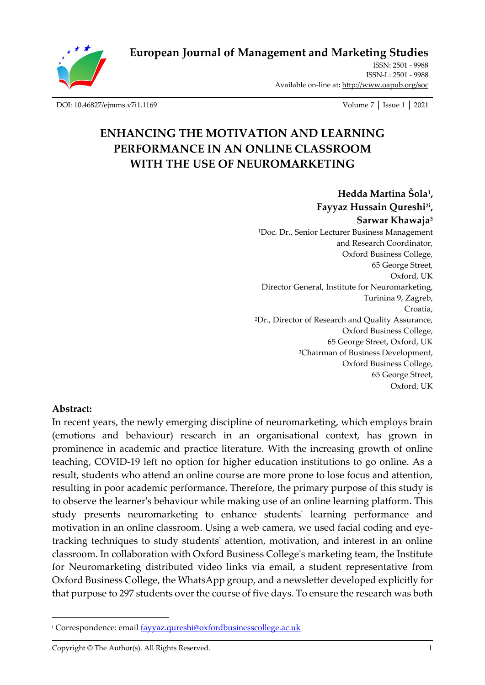

# **[European Journal of Management and Marketing Studies](http://oapub.org/soc/index.php/EJMMS)**

[ISSN: 2501 -](http://oapub.org/soc/index.php/EJSSS) 9988 [ISSN-L: 2501 -](http://oapub.org/soc/index.php/EJSSS) 9988 Available on-line at**:** <http://www.oapub.org/soc>

[DOI: 10.46827/ejmms.v7i1.1169](http://dx.doi.org/10.46827/ejmms.v7i1.1169) Volume 7 │ Issue 1 │ 2021

# **ENHANCING THE MOTIVATION AND LEARNING PERFORMANCE IN AN ONLINE CLASSROOM WITH THE USE OF NEUROMARKETING**

**Hedda Martina Šola<sup>1</sup> , Fayyaz Hussain Qureshi2i , Sarwar Khawaja<sup>3</sup>** <sup>1</sup>Doc. Dr., Senior Lecturer Business Management and Research Coordinator, Oxford Business College, 65 George Street, Oxford, UK Director General, Institute for Neuromarketing, Turinina 9, Zagreb, Croatia, <sup>2</sup>Dr., Director of Research and Quality Assurance, Oxford Business College, 65 George Street, Oxford, UK <sup>3</sup>Chairman of Business Development, Oxford Business College, 65 George Street, Oxford, UK

#### **Abstract:**

In recent years, the newly emerging discipline of neuromarketing, which employs brain (emotions and behaviour) research in an organisational context, has grown in prominence in academic and practice literature. With the increasing growth of online teaching, COVID-19 left no option for higher education institutions to go online. As a result, students who attend an online course are more prone to lose focus and attention, resulting in poor academic performance. Therefore, the primary purpose of this study is to observe the learner's behaviour while making use of an online learning platform. This study presents neuromarketing to enhance students' learning performance and motivation in an online classroom. Using a web camera, we used facial coding and eyetracking techniques to study students' attention, motivation, and interest in an online classroom. In collaboration with Oxford Business College's marketing team, the Institute for Neuromarketing distributed video links via email, a student representative from Oxford Business College, the WhatsApp group, and a newsletter developed explicitly for that purpose to 297 students over the course of five days. To ensure the research was both

<sup>&</sup>lt;sup>i</sup> Correspondence: emai[l fayyaz.qureshi@oxfordbusinesscollege.ac.uk](mailto:fayyaz.qureshi@oxfordbusinesscollege.ac.uk)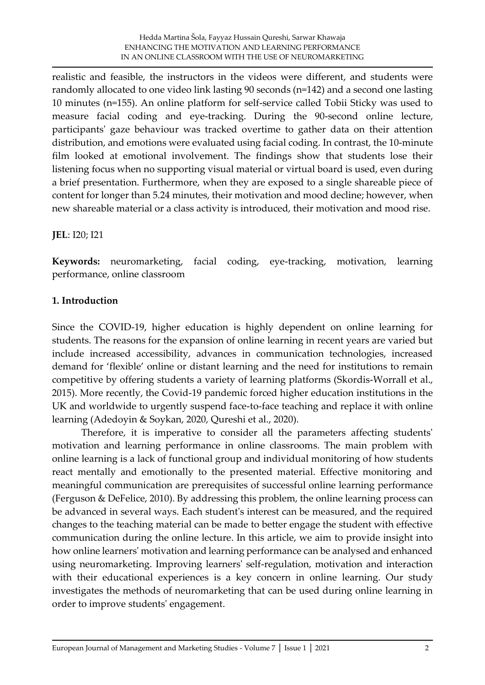realistic and feasible, the instructors in the videos were different, and students were randomly allocated to one video link lasting 90 seconds (n=142) and a second one lasting 10 minutes (n=155). An online platform for self-service called Tobii Sticky was used to measure facial coding and eye-tracking. During the 90-second online lecture, participants' gaze behaviour was tracked overtime to gather data on their attention distribution, and emotions were evaluated using facial coding. In contrast, the 10-minute film looked at emotional involvement. The findings show that students lose their listening focus when no supporting visual material or virtual board is used, even during a brief presentation. Furthermore, when they are exposed to a single shareable piece of content for longer than 5.24 minutes, their motivation and mood decline; however, when new shareable material or a class activity is introduced, their motivation and mood rise.

### **JEL**: I20; I21

**Keywords:** neuromarketing, facial coding, eye-tracking, motivation, learning performance, online classroom

### **1. Introduction**

Since the COVID-19, higher education is highly dependent on online learning for students. The reasons for the expansion of online learning in recent years are varied but include increased accessibility, advances in communication technologies, increased demand for 'flexible' online or distant learning and the need for institutions to remain competitive by offering students a variety of learning platforms (Skordis-Worrall et al., 2015). More recently, the Covid-19 pandemic forced higher education institutions in the UK and worldwide to urgently suspend face-to-face teaching and replace it with online learning (Adedoyin & Soykan, 2020, Qureshi et al., 2020).

Therefore, it is imperative to consider all the parameters affecting students' motivation and learning performance in online classrooms. The main problem with online learning is a lack of functional group and individual monitoring of how students react mentally and emotionally to the presented material. Effective monitoring and meaningful communication are prerequisites of successful online learning performance (Ferguson & DeFelice, 2010). By addressing this problem, the online learning process can be advanced in several ways. Each student's interest can be measured, and the required changes to the teaching material can be made to better engage the student with effective communication during the online lecture. In this article, we aim to provide insight into how online learners' motivation and learning performance can be analysed and enhanced using neuromarketing. Improving learners' self-regulation, motivation and interaction with their educational experiences is a key concern in online learning. Our study investigates the methods of neuromarketing that can be used during online learning in order to improve students' engagement.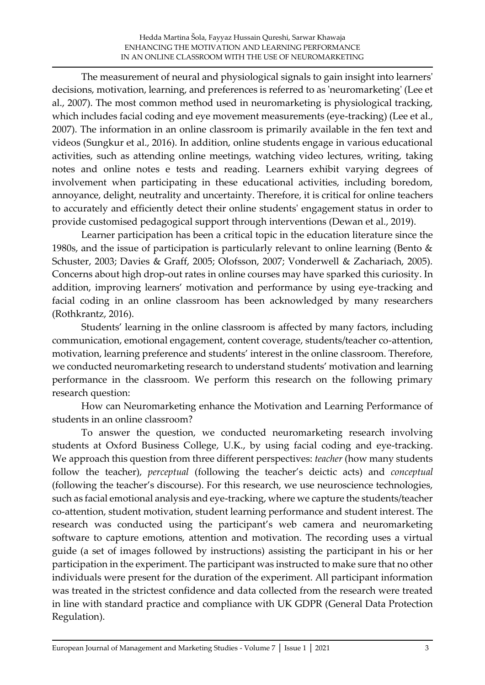The measurement of neural and physiological signals to gain insight into learners' decisions, motivation, learning, and preferences is referred to as 'neuromarketing' (Lee et al., 2007). The most common method used in neuromarketing is physiological tracking, which includes facial coding and eye movement measurements (eye-tracking) (Lee et al., 2007). The information in an online classroom is primarily available in the fen text and videos (Sungkur et al., 2016). In addition, online students engage in various educational activities, such as attending online meetings, watching video lectures, writing, taking notes and online notes e tests and reading. Learners exhibit varying degrees of involvement when participating in these educational activities, including boredom, annoyance, delight, neutrality and uncertainty. Therefore, it is critical for online teachers to accurately and efficiently detect their online students' engagement status in order to provide customised pedagogical support through interventions (Dewan et al., 2019).

Learner participation has been a critical topic in the education literature since the 1980s, and the issue of participation is particularly relevant to online learning (Bento & Schuster, 2003; Davies & Graff, 2005; Olofsson, 2007; Vonderwell & Zachariach, 2005). Concerns about high drop-out rates in online courses may have sparked this curiosity. In addition, improving learners' motivation and performance by using eye-tracking and facial coding in an online classroom has been acknowledged by many researchers (Rothkrantz, 2016).

Students' learning in the online classroom is affected by many factors, including communication, emotional engagement, content coverage, students/teacher co-attention, motivation, learning preference and students' interest in the online classroom. Therefore, we conducted neuromarketing research to understand students' motivation and learning performance in the classroom. We perform this research on the following primary research question:

How can Neuromarketing enhance the Motivation and Learning Performance of students in an online classroom?

To answer the question, we conducted neuromarketing research involving students at Oxford Business College, U.K., by using facial coding and eye-tracking. We approach this question from three different perspectives: *teacher* (how many students follow the teacher), *perceptual* (following the teacher's deictic acts) and *conceptual* (following the teacher's discourse). For this research, we use neuroscience technologies, such as facial emotional analysis and eye-tracking, where we capture the students/teacher co-attention, student motivation, student learning performance and student interest. The research was conducted using the participant's web camera and neuromarketing software to capture emotions, attention and motivation. The recording uses a virtual guide (a set of images followed by instructions) assisting the participant in his or her participation in the experiment. The participant was instructed to make sure that no other individuals were present for the duration of the experiment. All participant information was treated in the strictest confidence and data collected from the research were treated in line with standard practice and compliance with UK GDPR (General Data Protection Regulation).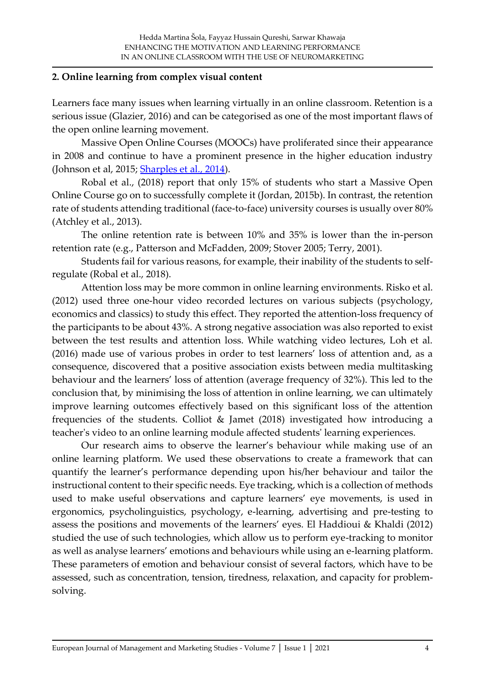#### **2. Online learning from complex visual content**

Learners face many issues when learning virtually in an online classroom. Retention is a serious issue (Glazier, 2016) and can be categorised as one of the most important flaws of the open online learning movement.

Massive Open Online Courses (MOOCs) have proliferated since their appearance in 2008 and continue to have a prominent presence in the higher education industry (Johnson et al, 2015; **Sharples et al., 2014**).

Robal et al., (2018) report that only 15% of students who start a Massive Open Online Course go on to successfully complete it (Jordan, 2015b). In contrast, the retention rate of students attending traditional (face-to-face) university courses is usually over 80% (Atchley et al., 2013).

The online retention rate is between 10% and 35% is lower than the in-person retention rate (e.g., Patterson and McFadden, 2009; Stover 2005; Terry, 2001).

Students fail for various reasons, for example, their inability of the students to selfregulate (Robal et al., 2018).

Attention loss may be more common in online learning environments. Risko et al. (2012) used three one-hour video recorded lectures on various subjects (psychology, economics and classics) to study this effect. They reported the attention-loss frequency of the participants to be about 43%. A strong negative association was also reported to exist between the test results and attention loss. While watching video lectures, Loh et al. (2016) made use of various probes in order to test learners' loss of attention and, as a consequence, discovered that a positive association exists between media multitasking behaviour and the learners' loss of attention (average frequency of 32%). This led to the conclusion that, by minimising the loss of attention in online learning, we can ultimately improve learning outcomes effectively based on this significant loss of the attention frequencies of the students. Colliot & Jamet (2018) investigated how introducing a teacher's video to an online learning module affected students' learning experiences.

Our research aims to observe the learner's behaviour while making use of an online learning platform. We used these observations to create a framework that can quantify the learner's performance depending upon his/her behaviour and tailor the instructional content to their specific needs. Eye tracking, which is a collection of methods used to make useful observations and capture learners' eye movements, is used in ergonomics, psycholinguistics, psychology, e-learning, advertising and pre-testing to assess the positions and movements of the learners' eyes. El Haddioui & Khaldi (2012) studied the use of such technologies, which allow us to perform eye-tracking to monitor as well as analyse learners' emotions and behaviours while using an e-learning platform. These parameters of emotion and behaviour consist of several factors, which have to be assessed, such as concentration, tension, tiredness, relaxation, and capacity for problemsolving.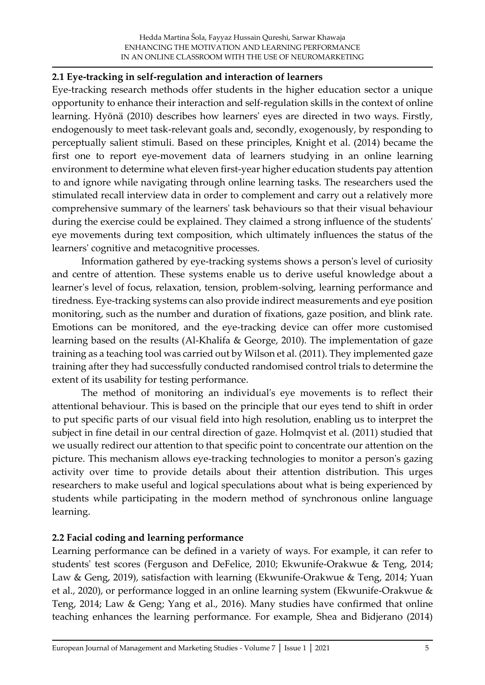#### **2.1 Eye-tracking in self-regulation and interaction of learners**

Eye-tracking research methods offer students in the higher education sector a unique opportunity to enhance their interaction and self-regulation skills in the context of online learning. Hyönä (2010) describes how learners' eyes are directed in two ways. Firstly, endogenously to meet task-relevant goals and, secondly, exogenously, by responding to perceptually salient stimuli. Based on these principles, Knight et al. (2014) became the first one to report eye-movement data of learners studying in an online learning environment to determine what eleven first-year higher education students pay attention to and ignore while navigating through online learning tasks. The researchers used the stimulated recall interview data in order to complement and carry out a relatively more comprehensive summary of the learners' task behaviours so that their visual behaviour during the exercise could be explained. They claimed a strong influence of the students' eye movements during text composition, which ultimately influences the status of the learners' cognitive and metacognitive processes.

Information gathered by eye-tracking systems shows a person's level of curiosity and centre of attention. These systems enable us to derive useful knowledge about a learner's level of focus, relaxation, tension, problem-solving, learning performance and tiredness. Eye-tracking systems can also provide indirect measurements and eye position monitoring, such as the number and duration of fixations, gaze position, and blink rate. Emotions can be monitored, and the eye-tracking device can offer more customised learning based on the results (Al-Khalifa & George, 2010). The implementation of gaze training as a teaching tool was carried out by Wilson et al. (2011). They implemented gaze training after they had successfully conducted randomised control trials to determine the extent of its usability for testing performance.

The method of monitoring an individual's eye movements is to reflect their attentional behaviour. This is based on the principle that our eyes tend to shift in order to put specific parts of our visual field into high resolution, enabling us to interpret the subject in fine detail in our central direction of gaze. Holmqvist et al. (2011) studied that we usually redirect our attention to that specific point to concentrate our attention on the picture. This mechanism allows eye-tracking technologies to monitor a person's gazing activity over time to provide details about their attention distribution. This urges researchers to make useful and logical speculations about what is being experienced by students while participating in the modern method of synchronous online language learning.

# **2.2 Facial coding and learning performance**

Learning performance can be defined in a variety of ways. For example, it can refer to students' test scores (Ferguson and DeFelice, 2010; Ekwunife-Orakwue & Teng, 2014; Law & Geng, 2019), satisfaction with learning (Ekwunife-Orakwue & Teng, 2014; Yuan et al., 2020), or performance logged in an online learning system (Ekwunife-Orakwue & Teng, 2014; Law & Geng; Yang et al., 2016). Many studies have confirmed that online teaching enhances the learning performance. For example, Shea and Bidjerano (2014)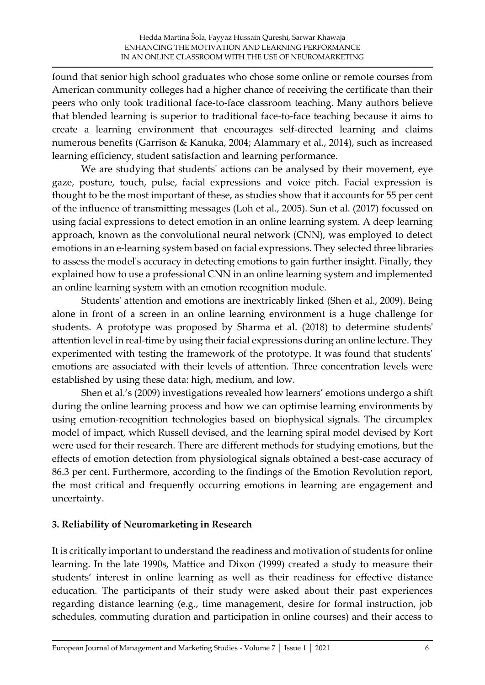found that senior high school graduates who chose some online or remote courses from American community colleges had a higher chance of receiving the certificate than their peers who only took traditional face-to-face classroom teaching. Many authors believe that blended learning is superior to traditional face-to-face teaching because it aims to create a learning environment that encourages self-directed learning and claims numerous benefits (Garrison & Kanuka, 2004; Alammary et al., 2014), such as increased learning efficiency, student satisfaction and learning performance.

We are studying that students' actions can be analysed by their movement, eye gaze, posture, touch, pulse, facial expressions and voice pitch. Facial expression is thought to be the most important of these, as studies show that it accounts for 55 per cent of the influence of transmitting messages (Loh et al., 2005). Sun et al. (2017) focussed on using facial expressions to detect emotion in an online learning system. A deep learning approach, known as the convolutional neural network (CNN), was employed to detect emotions in an e-learning system based on facial expressions. They selected three libraries to assess the model's accuracy in detecting emotions to gain further insight. Finally, they explained how to use a professional CNN in an online learning system and implemented an online learning system with an emotion recognition module.

Students' attention and emotions are inextricably linked (Shen et al., 2009). Being alone in front of a screen in an online learning environment is a huge challenge for students. A prototype was proposed by Sharma et al. (2018) to determine students' attention level in real-time by using their facial expressions during an online lecture. They experimented with testing the framework of the prototype. It was found that students' emotions are associated with their levels of attention. Three concentration levels were established by using these data: high, medium, and low.

Shen et al.'s (2009) investigations revealed how learners' emotions undergo a shift during the online learning process and how we can optimise learning environments by using emotion-recognition technologies based on biophysical signals. The circumplex model of impact, which Russell devised, and the learning spiral model devised by Kort were used for their research. There are different methods for studying emotions, but the effects of emotion detection from physiological signals obtained a best-case accuracy of 86.3 per cent. Furthermore, according to the findings of the Emotion Revolution report, the most critical and frequently occurring emotions in learning are engagement and uncertainty.

# **3. Reliability of Neuromarketing in Research**

It is critically important to understand the readiness and motivation of students for online learning. In the late 1990s, Mattice and Dixon (1999) created a study to measure their students' interest in online learning as well as their readiness for effective distance education. The participants of their study were asked about their past experiences regarding distance learning (e.g., time management, desire for formal instruction, job schedules, commuting duration and participation in online courses) and their access to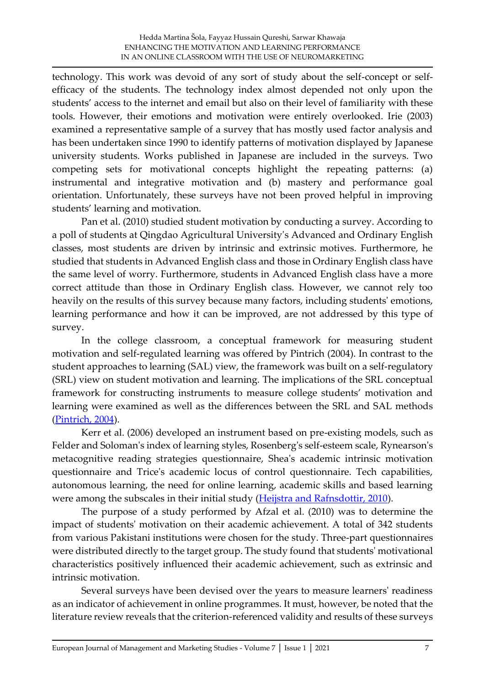technology. This work was devoid of any sort of study about the self-concept or selfefficacy of the students. The technology index almost depended not only upon the students' access to the internet and email but also on their level of familiarity with these tools. However, their emotions and motivation were entirely overlooked. Irie (2003) examined a representative sample of a survey that has mostly used factor analysis and has been undertaken since 1990 to identify patterns of motivation displayed by Japanese university students. Works published in Japanese are included in the surveys. Two competing sets for motivational concepts highlight the repeating patterns: (a) instrumental and integrative motivation and (b) mastery and performance goal orientation. Unfortunately, these surveys have not been proved helpful in improving students' learning and motivation.

Pan et al. (2010) studied student motivation by conducting a survey. According to a poll of students at Qingdao Agricultural University's Advanced and Ordinary English classes, most students are driven by intrinsic and extrinsic motives. Furthermore, he studied that students in Advanced English class and those in Ordinary English class have the same level of worry. Furthermore, students in Advanced English class have a more correct attitude than those in Ordinary English class. However, we cannot rely too heavily on the results of this survey because many factors, including students' emotions, learning performance and how it can be improved, are not addressed by this type of survey.

In the college classroom, a conceptual framework for measuring student motivation and self-regulated learning was offered by Pintrich (2004). In contrast to the student approaches to learning (SAL) view, the framework was built on a self-regulatory (SRL) view on student motivation and learning. The implications of the SRL conceptual framework for constructing instruments to measure college students' motivation and learning were examined as well as the differences between the SRL and SAL methods [\(Pintrich, 2004\)](#page-22-0).

Kerr et al. (2006) developed an instrument based on pre-existing models, such as Felder and Soloman's index of learning styles, Rosenberg's self-esteem scale, Rynearson's metacognitive reading strategies questionnaire, Shea's academic intrinsic motivation questionnaire and Trice's academic locus of control questionnaire. Tech capabilities, autonomous learning, the need for online learning, academic skills and based learning were among the subscales in their initial study [\(Heijstra and Rafnsdottir, 2010\)](#page-21-0).

The purpose of a study performed by Afzal et al. (2010) was to determine the impact of students' motivation on their academic achievement. A total of 342 students from various Pakistani institutions were chosen for the study. Three-part questionnaires were distributed directly to the target group. The study found that students' motivational characteristics positively influenced their academic achievement, such as extrinsic and intrinsic motivation.

Several surveys have been devised over the years to measure learners' readiness as an indicator of achievement in online programmes. It must, however, be noted that the literature review reveals that the criterion-referenced validity and results of these surveys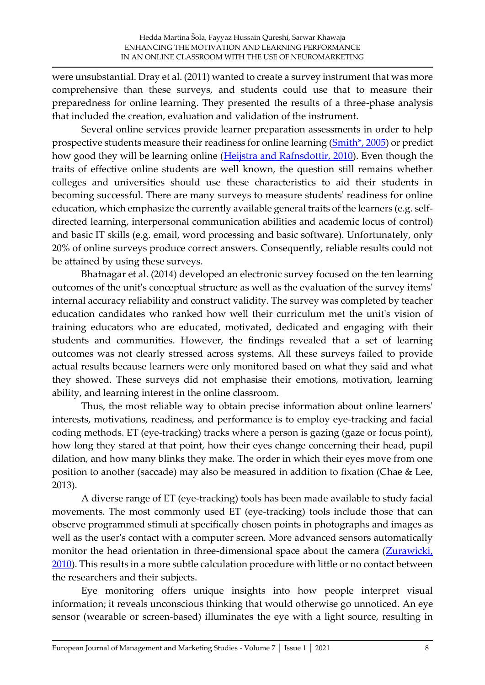were unsubstantial. Dray et al. (2011) wanted to create a survey instrument that was more comprehensive than these surveys, and students could use that to measure their preparedness for online learning. They presented the results of a three-phase analysis that included the creation, evaluation and validation of the instrument.

Several online services provide learner preparation assessments in order to help prospective students measure their readiness for online learning [\(Smith\\*, 2005\)](#page-23-0) or predict how good they will be learning online [\(Heijstra and Rafnsdottir, 2010\)](#page-21-0). Even though the traits of effective online students are well known, the question still remains whether colleges and universities should use these characteristics to aid their students in becoming successful. There are many surveys to measure students' readiness for online education, which emphasize the currently available general traits of the learners (e.g. selfdirected learning, interpersonal communication abilities and academic locus of control) and basic IT skills (e.g. email, word processing and basic software). Unfortunately, only 20% of online surveys produce correct answers. Consequently, reliable results could not be attained by using these surveys.

Bhatnagar et al. (2014) developed an electronic survey focused on the ten learning outcomes of the unit's conceptual structure as well as the evaluation of the survey items' internal accuracy reliability and construct validity. The survey was completed by teacher education candidates who ranked how well their curriculum met the unit's vision of training educators who are educated, motivated, dedicated and engaging with their students and communities. However, the findings revealed that a set of learning outcomes was not clearly stressed across systems. All these surveys failed to provide actual results because learners were only monitored based on what they said and what they showed. These surveys did not emphasise their emotions, motivation, learning ability, and learning interest in the online classroom.

Thus, the most reliable way to obtain precise information about online learners' interests, motivations, readiness, and performance is to employ eye-tracking and facial coding methods. ET (eye-tracking) tracks where a person is gazing (gaze or focus point), how long they stared at that point, how their eyes change concerning their head, pupil dilation, and how many blinks they make. The order in which their eyes move from one position to another (saccade) may also be measured in addition to fixation (Chae & Lee, 2013).

A diverse range of ET (eye-tracking) tools has been made available to study facial movements. The most commonly used ET (eye-tracking) tools include those that can observe programmed stimuli at specifically chosen points in photographs and images as well as the user's contact with a computer screen. More advanced sensors automatically monitor the head orientation in three-dimensional space about the camera (Zurawicki, [2010\)](#page-23-1). This results in a more subtle calculation procedure with little or no contact between the researchers and their subjects.

Eye monitoring offers unique insights into how people interpret visual information; it reveals unconscious thinking that would otherwise go unnoticed. An eye sensor (wearable or screen-based) illuminates the eye with a light source, resulting in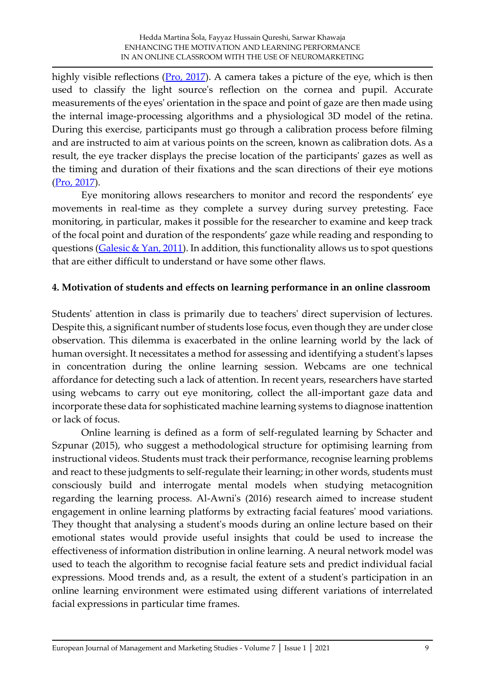highly visible reflections  $(Pro, 2017)$ . A camera takes a picture of the eye, which is then used to classify the light source's reflection on the cornea and pupil. Accurate measurements of the eyes' orientation in the space and point of gaze are then made using the internal image-processing algorithms and a physiological 3D model of the retina. During this exercise, participants must go through a calibration process before filming and are instructed to aim at various points on the screen, known as calibration dots. As a result, the eye tracker displays the precise location of the participants' gazes as well as the timing and duration of their fixations and the scan directions of their eye motions [\(Pro, 2017\)](#page-22-1).

Eye monitoring allows researchers to monitor and record the respondents' eye movements in real-time as they complete a survey during survey pretesting. Face monitoring, in particular, makes it possible for the researcher to examine and keep track of the focal point and duration of the respondents' gaze while reading and responding to questions ( $Galesic & Yan, 2011$ ). In addition, this functionality allows us to spot questions that are either difficult to understand or have some other flaws.

#### **4. Motivation of students and effects on learning performance in an online classroom**

Students' attention in class is primarily due to teachers' direct supervision of lectures. Despite this, a significant number of students lose focus, even though they are under close observation. This dilemma is exacerbated in the online learning world by the lack of human oversight. It necessitates a method for assessing and identifying a student's lapses in concentration during the online learning session. Webcams are one technical affordance for detecting such a lack of attention. In recent years, researchers have started using webcams to carry out eye monitoring, collect the all-important gaze data and incorporate these data for sophisticated machine learning systems to diagnose inattention or lack of focus.

Online learning is defined as a form of self-regulated learning by Schacter and Szpunar (2015), who suggest a methodological structure for optimising learning from instructional videos. Students must track their performance, recognise learning problems and react to these judgments to self-regulate their learning; in other words, students must consciously build and interrogate mental models when studying metacognition regarding the learning process. Al-Awni's (2016) research aimed to increase student engagement in online learning platforms by extracting facial features' mood variations. They thought that analysing a student's moods during an online lecture based on their emotional states would provide useful insights that could be used to increase the effectiveness of information distribution in online learning. A neural network model was used to teach the algorithm to recognise facial feature sets and predict individual facial expressions. Mood trends and, as a result, the extent of a student's participation in an online learning environment were estimated using different variations of interrelated facial expressions in particular time frames.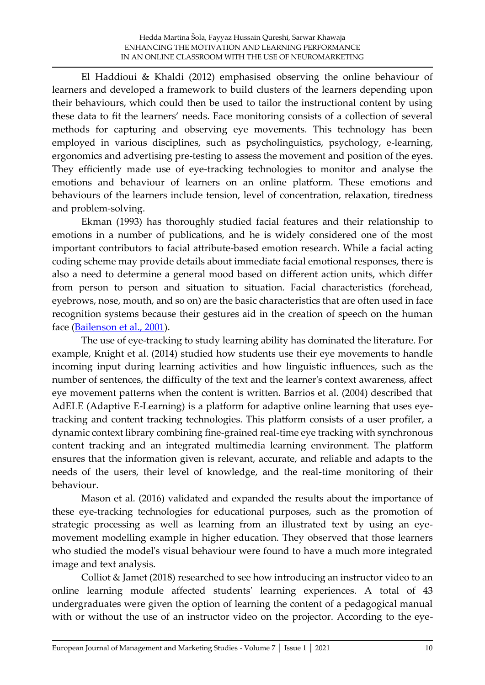El Haddioui & Khaldi (2012) emphasised observing the online behaviour of learners and developed a framework to build clusters of the learners depending upon their behaviours, which could then be used to tailor the instructional content by using these data to fit the learners' needs. Face monitoring consists of a collection of several methods for capturing and observing eye movements. This technology has been employed in various disciplines, such as psycholinguistics, psychology, e-learning, ergonomics and advertising pre-testing to assess the movement and position of the eyes. They efficiently made use of eye-tracking technologies to monitor and analyse the emotions and behaviour of learners on an online platform. These emotions and behaviours of the learners include tension, level of concentration, relaxation, tiredness and problem-solving.

Ekman (1993) has thoroughly studied facial features and their relationship to emotions in a number of publications, and he is widely considered one of the most important contributors to facial attribute-based emotion research. While a facial acting coding scheme may provide details about immediate facial emotional responses, there is also a need to determine a general mood based on different action units, which differ from person to person and situation to situation. Facial characteristics (forehead, eyebrows, nose, mouth, and so on) are the basic characteristics that are often used in face recognition systems because their gestures aid in the creation of speech on the human face [\(Bailenson et al., 2001\)](#page-20-0).

The use of eye-tracking to study learning ability has dominated the literature. For example, Knight et al. (2014) studied how students use their eye movements to handle incoming input during learning activities and how linguistic influences, such as the number of sentences, the difficulty of the text and the learner's context awareness, affect eye movement patterns when the content is written. Barrios et al. (2004) described that AdELE (Adaptive E-Learning) is a platform for adaptive online learning that uses eyetracking and content tracking technologies. This platform consists of a user profiler, a dynamic context library combining fine-grained real-time eye tracking with synchronous content tracking and an integrated multimedia learning environment. The platform ensures that the information given is relevant, accurate, and reliable and adapts to the needs of the users, their level of knowledge, and the real-time monitoring of their behaviour.

Mason et al. (2016) validated and expanded the results about the importance of these eye-tracking technologies for educational purposes, such as the promotion of strategic processing as well as learning from an illustrated text by using an eyemovement modelling example in higher education. They observed that those learners who studied the model's visual behaviour were found to have a much more integrated image and text analysis.

Colliot & Jamet (2018) researched to see how introducing an instructor video to an online learning module affected students' learning experiences. A total of 43 undergraduates were given the option of learning the content of a pedagogical manual with or without the use of an instructor video on the projector. According to the eye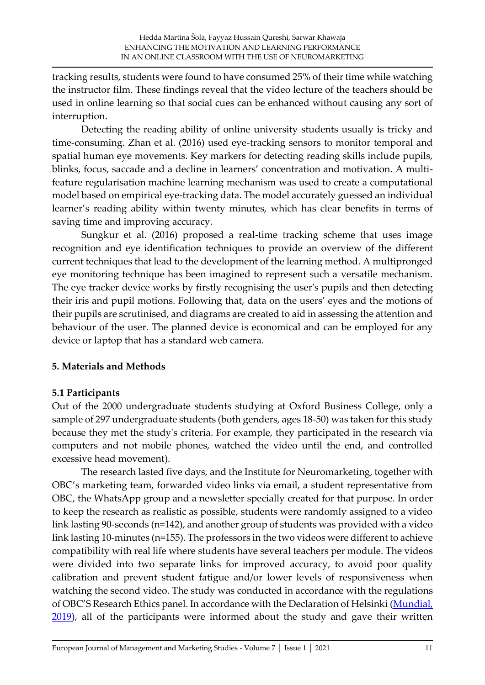tracking results, students were found to have consumed 25% of their time while watching the instructor film. These findings reveal that the video lecture of the teachers should be used in online learning so that social cues can be enhanced without causing any sort of interruption.

Detecting the reading ability of online university students usually is tricky and time-consuming. Zhan et al. (2016) used eye-tracking sensors to monitor temporal and spatial human eye movements. Key markers for detecting reading skills include pupils, blinks, focus, saccade and a decline in learners' concentration and motivation. A multifeature regularisation machine learning mechanism was used to create a computational model based on empirical eye-tracking data. The model accurately guessed an individual learner's reading ability within twenty minutes, which has clear benefits in terms of saving time and improving accuracy.

Sungkur et al. (2016) proposed a real-time tracking scheme that uses image recognition and eye identification techniques to provide an overview of the different current techniques that lead to the development of the learning method. A multipronged eye monitoring technique has been imagined to represent such a versatile mechanism. The eye tracker device works by firstly recognising the user's pupils and then detecting their iris and pupil motions. Following that, data on the users' eyes and the motions of their pupils are scrutinised, and diagrams are created to aid in assessing the attention and behaviour of the user. The planned device is economical and can be employed for any device or laptop that has a standard web camera.

#### **5. Materials and Methods**

#### **5.1 Participants**

Out of the 2000 undergraduate students studying at Oxford Business College, only a sample of 297 undergraduate students (both genders, ages 18-50) was taken for this study because they met the study's criteria. For example, they participated in the research via computers and not mobile phones, watched the video until the end, and controlled excessive head movement).

The research lasted five days, and the Institute for Neuromarketing, together with OBC's marketing team, forwarded video links via email, a student representative from OBC, the WhatsApp group and a newsletter specially created for that purpose. In order to keep the research as realistic as possible, students were randomly assigned to a video link lasting 90-seconds (n=142), and another group of students was provided with a video link lasting 10-minutes (n=155). The professors in the two videos were different to achieve compatibility with real life where students have several teachers per module. The videos were divided into two separate links for improved accuracy, to avoid poor quality calibration and prevent student fatigue and/or lower levels of responsiveness when watching the second video. The study was conducted in accordance with the regulations of OBC'S Research Ethics panel. In accordance with the Declaration of Helsinki (Mundial,  $2019$ ), all of the participants were informed about the study and gave their written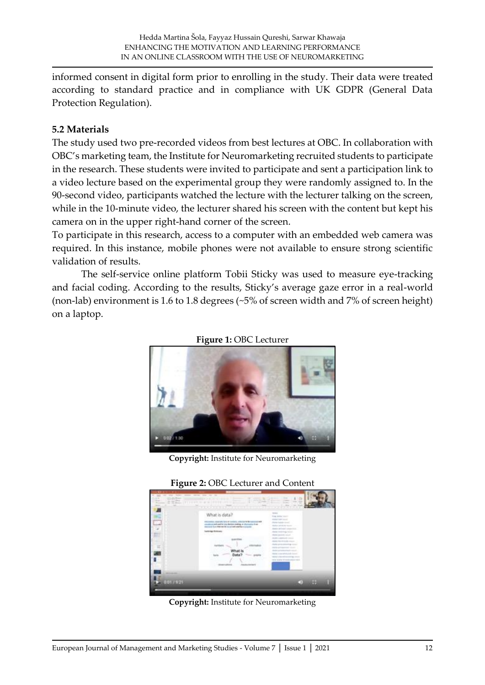informed consent in digital form prior to enrolling in the study. Their data were treated according to standard practice and in compliance with UK GDPR (General Data Protection Regulation).

#### **5.2 Materials**

The study used two pre-recorded videos from best lectures at OBC. In collaboration with OBC's marketing team, the Institute for Neuromarketing recruited students to participate in the research. These students were invited to participate and sent a participation link to a video lecture based on the experimental group they were randomly assigned to. In the 90-second video, participants watched the lecture with the lecturer talking on the screen, while in the 10-minute video, the lecturer shared his screen with the content but kept his camera on in the upper right-hand corner of the screen.

To participate in this research, access to a computer with an embedded web camera was required. In this instance, mobile phones were not available to ensure strong scientific validation of results.

The self-service online platform Tobii Sticky was used to measure eye-tracking and facial coding. According to the results, Sticky's average gaze error in a real-world (non-lab) environment is 1.6 to 1.8 degrees (~5% of screen width and 7% of screen height) on a laptop.



**Figure 1:** OBC Lecturer

**Copyright:** Institute for Neuromarketing



**Copyright:** Institute for Neuromarketing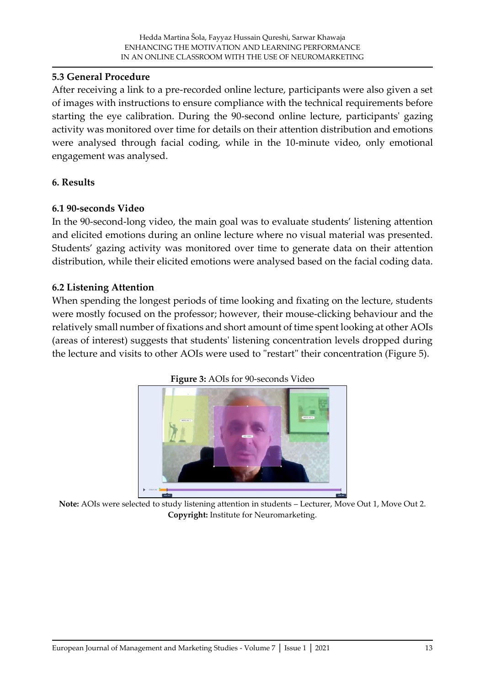### **5.3 General Procedure**

After receiving a link to a pre-recorded online lecture, participants were also given a set of images with instructions to ensure compliance with the technical requirements before starting the eye calibration. During the 90-second online lecture, participants' gazing activity was monitored over time for details on their attention distribution and emotions were analysed through facial coding, while in the 10-minute video, only emotional engagement was analysed.

### **6. Results**

### **6.1 90-seconds Video**

In the 90-second-long video, the main goal was to evaluate students' listening attention and elicited emotions during an online lecture where no visual material was presented. Students' gazing activity was monitored over time to generate data on their attention distribution, while their elicited emotions were analysed based on the facial coding data.

### **6.2 Listening Attention**

When spending the longest periods of time looking and fixating on the lecture, students were mostly focused on the professor; however, their mouse-clicking behaviour and the relatively small number of fixations and short amount of time spent looking at other AOIs (areas of interest) suggests that students' listening concentration levels dropped during the lecture and visits to other AOIs were used to "restart" their concentration (Figure 5).





**Note:** AOIs were selected to study listening attention in students – Lecturer, Move Out 1, Move Out 2. **Copyright:** Institute for Neuromarketing.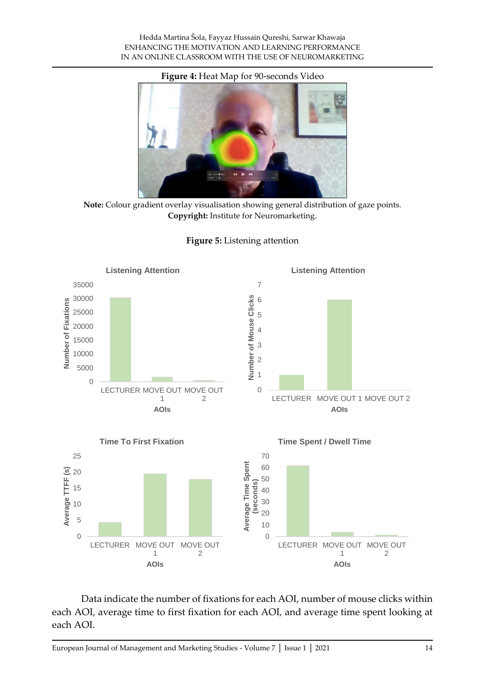#### **Figure 4:** Heat Map for 90-seconds Video



**Note:** Colour gradient overlay visualisation showing general distribution of gaze points. **Copyright:** Institute for Neuromarketing.





Data indicate the number of fixations for each AOI, number of mouse clicks within each AOI, average time to first fixation for each AOI, and average time spent looking at each AOI.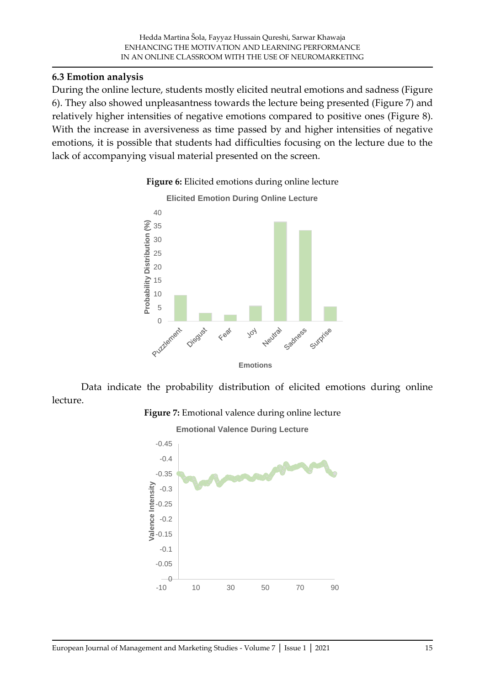### **6.3 Emotion analysis**

During the online lecture, students mostly elicited neutral emotions and sadness (Figure 6). They also showed unpleasantness towards the lecture being presented (Figure 7) and relatively higher intensities of negative emotions compared to positive ones (Figure 8). With the increase in aversiveness as time passed by and higher intensities of negative emotions, it is possible that students had difficulties focusing on the lecture due to the lack of accompanying visual material presented on the screen.



#### **Figure 6:** Elicited emotions during online lecture

Data indicate the probability distribution of elicited emotions during online lecture.



**Emotional Valence During Lecture** 

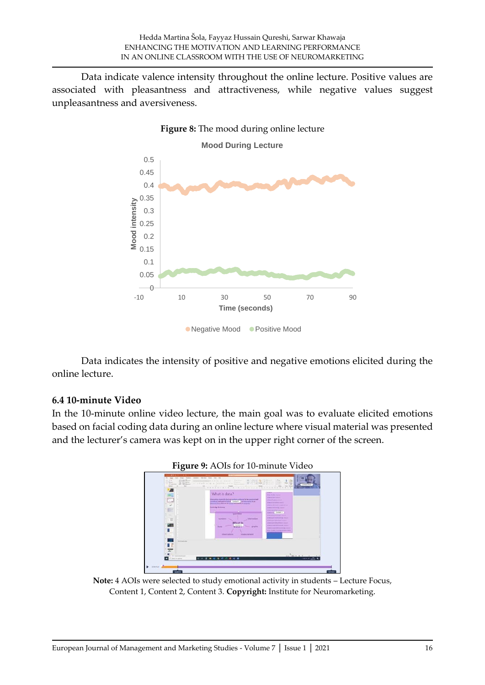Data indicate valence intensity throughout the online lecture. Positive values are associated with pleasantness and attractiveness, while negative values suggest unpleasantness and aversiveness.



Data indicates the intensity of positive and negative emotions elicited during the online lecture.

#### **6.4 10-minute Video**

In the 10-minute online video lecture, the main goal was to evaluate elicited emotions based on facial coding data during an online lecture where visual material was presented and the lecturer's camera was kept on in the upper right corner of the screen.





**Note:** 4 AOIs were selected to study emotional activity in students – Lecture Focus, Content 1, Content 2, Content 3. **Copyright:** Institute for Neuromarketing.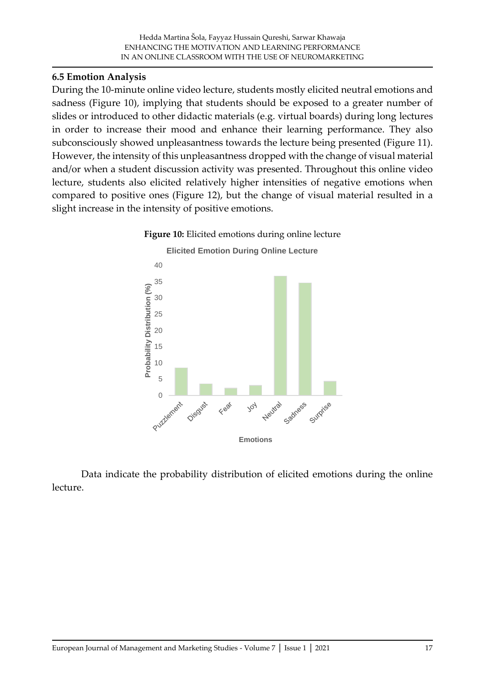### **6.5 Emotion Analysis**

During the 10-minute online video lecture, students mostly elicited neutral emotions and sadness (Figure 10), implying that students should be exposed to a greater number of slides or introduced to other didactic materials (e.g. virtual boards) during long lectures in order to increase their mood and enhance their learning performance. They also subconsciously showed unpleasantness towards the lecture being presented (Figure 11). However, the intensity of this unpleasantness dropped with the change of visual material and/or when a student discussion activity was presented. Throughout this online video lecture, students also elicited relatively higher intensities of negative emotions when compared to positive ones (Figure 12), but the change of visual material resulted in a slight increase in the intensity of positive emotions.





Data indicate the probability distribution of elicited emotions during the online lecture.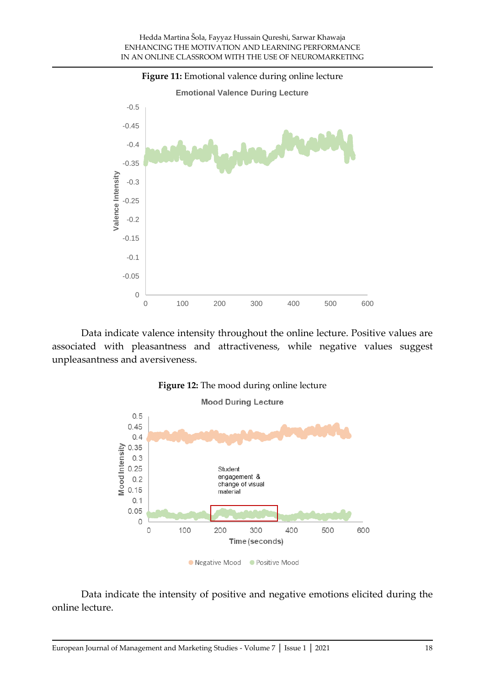

Data indicate valence intensity throughout the online lecture. Positive values are associated with pleasantness and attractiveness, while negative values suggest unpleasantness and aversiveness.



Data indicate the intensity of positive and negative emotions elicited during the online lecture.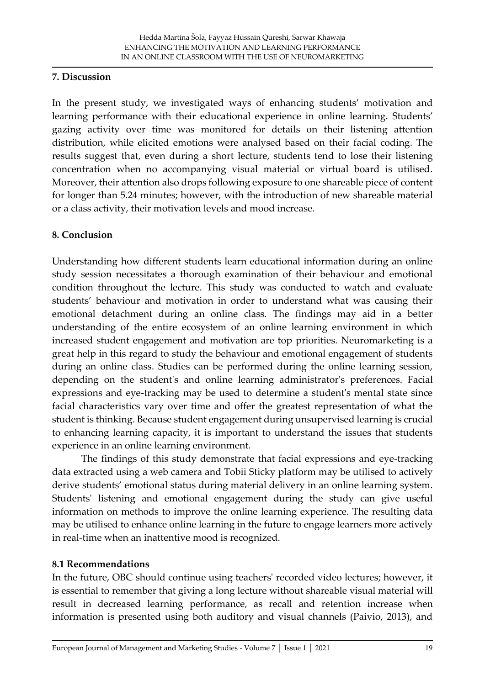### **7. Discussion**

In the present study, we investigated ways of enhancing students' motivation and learning performance with their educational experience in online learning. Students' gazing activity over time was monitored for details on their listening attention distribution, while elicited emotions were analysed based on their facial coding. The results suggest that, even during a short lecture, students tend to lose their listening concentration when no accompanying visual material or virtual board is utilised. Moreover, their attention also drops following exposure to one shareable piece of content for longer than 5.24 minutes; however, with the introduction of new shareable material or a class activity, their motivation levels and mood increase.

# **8. Conclusion**

Understanding how different students learn educational information during an online study session necessitates a thorough examination of their behaviour and emotional condition throughout the lecture. This study was conducted to watch and evaluate students' behaviour and motivation in order to understand what was causing their emotional detachment during an online class. The findings may aid in a better understanding of the entire ecosystem of an online learning environment in which increased student engagement and motivation are top priorities. Neuromarketing is a great help in this regard to study the behaviour and emotional engagement of students during an online class. Studies can be performed during the online learning session, depending on the student's and online learning administrator's preferences. Facial expressions and eye-tracking may be used to determine a student's mental state since facial characteristics vary over time and offer the greatest representation of what the student is thinking. Because student engagement during unsupervised learning is crucial to enhancing learning capacity, it is important to understand the issues that students experience in an online learning environment.

The findings of this study demonstrate that facial expressions and eye-tracking data extracted using a web camera and Tobii Sticky platform may be utilised to actively derive students' emotional status during material delivery in an online learning system. Students' listening and emotional engagement during the study can give useful information on methods to improve the online learning experience. The resulting data may be utilised to enhance online learning in the future to engage learners more actively in real-time when an inattentive mood is recognized.

#### **8.1 Recommendations**

In the future, OBC should continue using teachers' recorded video lectures; however, it is essential to remember that giving a long lecture without shareable visual material will result in decreased learning performance, as recall and retention increase when information is presented using both auditory and visual channels (Paivio, 2013), and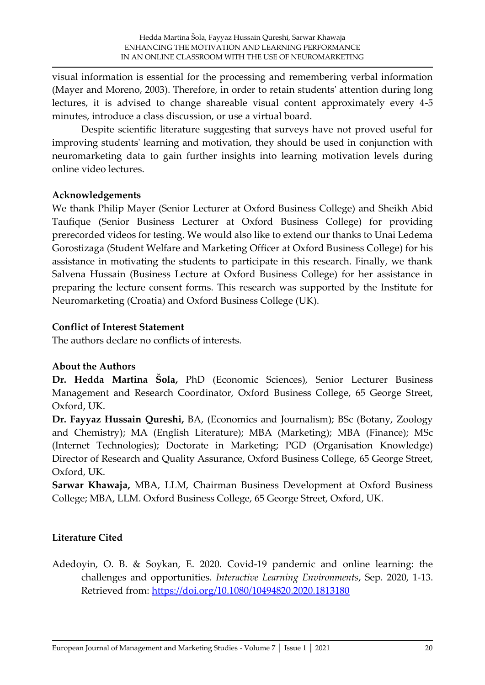visual information is essential for the processing and remembering verbal information (Mayer and Moreno, 2003). Therefore, in order to retain students' attention during long lectures, it is advised to change shareable visual content approximately every 4-5 minutes, introduce a class discussion, or use a virtual board.

Despite scientific literature suggesting that surveys have not proved useful for improving students' learning and motivation, they should be used in conjunction with neuromarketing data to gain further insights into learning motivation levels during online video lectures.

### **Acknowledgements**

We thank Philip Mayer (Senior Lecturer at Oxford Business College) and Sheikh Abid Taufique (Senior Business Lecturer at Oxford Business College) for providing prerecorded videos for testing. We would also like to extend our thanks to Unai Ledema Gorostizaga (Student Welfare and Marketing Officer at Oxford Business College) for his assistance in motivating the students to participate in this research. Finally, we thank Salvena Hussain (Business Lecture at Oxford Business College) for her assistance in preparing the lecture consent forms. This research was supported by the Institute for Neuromarketing (Croatia) and Oxford Business College (UK).

### **Conflict of Interest Statement**

The authors declare no conflicts of interests.

# **About the Authors**

**Dr. Hedda Martina Šola,** PhD (Economic Sciences), Senior Lecturer Business Management and Research Coordinator, Oxford Business College, 65 George Street, Oxford, UK.

**Dr. Fayyaz Hussain Qureshi,** BA, (Economics and Journalism); BSc (Botany, Zoology and Chemistry); MA (English Literature); MBA (Marketing); MBA (Finance); MSc (Internet Technologies); Doctorate in Marketing; PGD (Organisation Knowledge) Director of Research and Quality Assurance, Oxford Business College, 65 George Street, Oxford, UK.

**Sarwar Khawaja,** MBA, LLM, Chairman Business Development at Oxford Business College; MBA, LLM. Oxford Business College, 65 George Street, Oxford, UK.

# **Literature Cited**

Adedoyin, O. B. & Soykan, E. 2020. Covid-19 pandemic and online learning: the challenges and opportunities. *Interactive Learning Environments*, Sep. 2020, 1-13. Retrieved from: [https://doi.org/10.1080/10494820.2020.1813180](https://psycnet.apa.org/doi/10.1080/10494820.2020.1813180)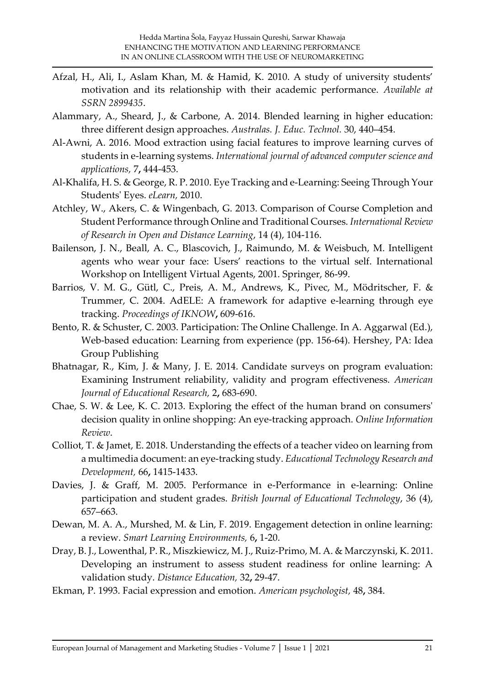- Afzal, H., Ali, I., Aslam Khan, M. & Hamid, K. 2010. A study of university students' motivation and its relationship with their academic performance. *Available at SSRN 2899435*.
- Alammary, A., Sheard, J., & Carbone, A. 2014. Blended learning in higher education: three different design approaches. *Australas. J. Educ. Technol.* 30, 440–454.
- Al-Awni, A. 2016. Mood extraction using facial features to improve learning curves of students in e-learning systems. *International journal of advanced computer science and applications,* 7**,** 444-453.
- Al-Khalifa, H. S. & George, R. P. 2010. Eye Tracking and e-Learning: Seeing Through Your Students' Eyes. *eLearn,* 2010.
- Atchley, W., Akers, C. & Wingenbach, G. 2013. Comparison of Course Completion and Student Performance through Online and Traditional Courses. *International Review of Research in Open and Distance Learning*, 14 (4), 104-116.
- <span id="page-20-0"></span>Bailenson, J. N., Beall, A. C., Blascovich, J., Raimundo, M. & Weisbuch, M. Intelligent agents who wear your face: Users' reactions to the virtual self. International Workshop on Intelligent Virtual Agents, 2001. Springer, 86-99.
- Barrios, V. M. G., Gütl, C., Preis, A. M., Andrews, K., Pivec, M., Mödritscher, F. & Trummer, C. 2004. AdELE: A framework for adaptive e-learning through eye tracking. *Proceedings of IKNOW***,** 609-616.
- Bento, R. & Schuster, C. 2003. Participation: The Online Challenge. In A. Aggarwal (Ed.), Web-based education: Learning from experience (pp. 156-64). Hershey, PA: Idea Group Publishing
- Bhatnagar, R., Kim, J. & Many, J. E. 2014. Candidate surveys on program evaluation: Examining Instrument reliability, validity and program effectiveness. *American Journal of Educational Research,* 2**,** 683-690.
- Chae, S. W. & Lee, K. C. 2013. Exploring the effect of the human brand on consumers' decision quality in online shopping: An eye‐tracking approach. *Online Information Review*.
- Colliot, T. & Jamet, E. 2018. Understanding the effects of a teacher video on learning from a multimedia document: an eye-tracking study. *Educational Technology Research and Development,* 66**,** 1415-1433.
- Davies, J. & Graff, M. 2005. Performance in e-Performance in e-learning: Online participation and student grades. *British Journal of Educational Technology*, 36 (4), 657–663.
- Dewan, M. A. A., Murshed, M. & Lin, F. 2019. Engagement detection in online learning: a review. *Smart Learning Environments,* 6**,** 1-20.
- Dray, B. J., Lowenthal, P. R., Miszkiewicz, M. J., Ruiz‐Primo, M. A. & Marczynski, K. 2011. Developing an instrument to assess student readiness for online learning: A validation study. *Distance Education,* 32**,** 29-47.
- Ekman, P. 1993. Facial expression and emotion. *American psychologist,* 48**,** 384.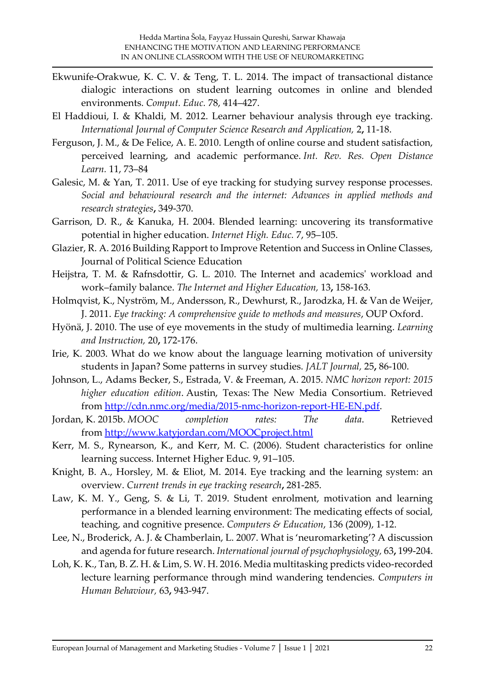- Ekwunife-Orakwue, K. C. V. & Teng, T. L. 2014. The impact of transactional distance dialogic interactions on student learning outcomes in online and blended environments. *Comput. Educ.* 78, 414–427.
- <span id="page-21-1"></span>El Haddioui, I. & Khaldi, M. 2012. Learner behaviour analysis through eye tracking. *International Journal of Computer Science Research and Application,* 2**,** 11-18.
- Ferguson, J. M., & De Felice, A. E. 2010. Length of online course and student satisfaction, perceived learning, and academic performance. *Int. Rev. Res. Open Distance Learn.* 11, 73–84
- Galesic, M. & Yan, T. 2011. Use of eye tracking for studying survey response processes. *Social and behavioural research and the internet: Advances in applied methods and research strategies***,** 349-370.
- Garrison, D. R., & Kanuka, H. 2004. Blended learning: uncovering its transformative potential in higher education. *Internet High. Educ.* 7, 95–105.
- Glazier, R. A. 2016 Building Rapport to Improve Retention and Success in Online Classes, Journal of Political Science Education
- <span id="page-21-0"></span>Heijstra, T. M. & Rafnsdottir, G. L. 2010. The Internet and academics' workload and work–family balance. *The Internet and Higher Education,* 13**,** 158-163.
- Holmqvist, K., Nyström, M., Andersson, R., Dewhurst, R., Jarodzka, H. & Van de Weijer, J. 2011. *Eye tracking: A comprehensive guide to methods and measures*, OUP Oxford.
- Hyönä, J. 2010. The use of eye movements in the study of multimedia learning. *Learning and Instruction,* 20**,** 172-176.
- Irie, K. 2003. What do we know about the language learning motivation of university students in Japan? Some patterns in survey studies. *JALT Journal,* 25**,** 86-100.
- Johnson, L., Adams Becker, S., Estrada, V. & Freeman, A. 2015. *NMC horizon report: 2015 higher education edition*. Austin, Texas: The New Media Consortium. Retrieved from [http://cdn.nmc.org/media/2015-nmc-horizon-report-HE-EN.pdf.](http://cdn.nmc.org/media/2015-nmc-horizon-report-HE-EN.pdf)
- Jordan, K. 2015b. *MOOC completion rates: The data*. Retrieved from <http://www.katyjordan.com/MOOCproject.html>
- Kerr, M. S., Rynearson, K., and Kerr, M. C. (2006). Student characteristics for online learning success. Internet Higher Educ. 9, 91–105.
- Knight, B. A., Horsley, M. & Eliot, M. 2014. Eye tracking and the learning system: an overview. *Current trends in eye tracking research***,** 281-285.
- Law, K. M. Y., Geng, S. & Li, T. 2019. Student enrolment, motivation and learning performance in a blended learning environment: The medicating effects of social, teaching, and cognitive presence. *Computers & Education*, 136 (2009), 1-12.
- Lee, N., Broderick, A. J. & Chamberlain, L. 2007. What is 'neuromarketing'? A discussion and agenda for future research. *International journal of psychophysiology,* 63**,** 199-204.
- Loh, K. K., Tan, B. Z. H. & Lim, S. W. H. 2016. Media multitasking predicts video-recorded lecture learning performance through mind wandering tendencies. *Computers in Human Behaviour,* 63**,** 943-947.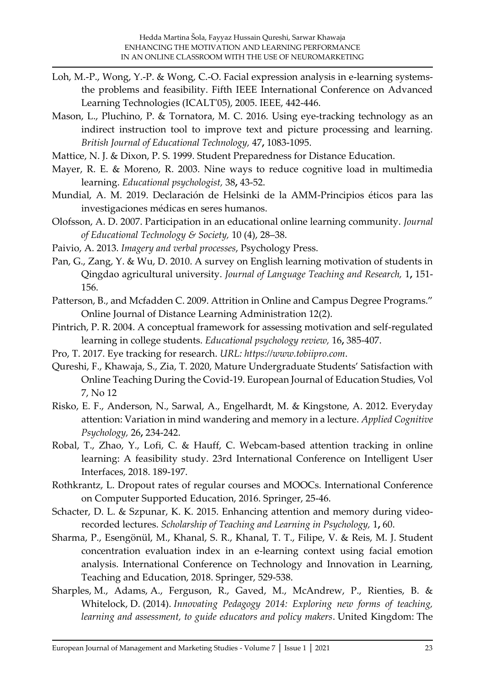- Loh, M.-P., Wong, Y.-P. & Wong, C.-O. Facial expression analysis in e-learning systemsthe problems and feasibility. Fifth IEEE International Conference on Advanced Learning Technologies (ICALT'05), 2005. IEEE, 442-446.
- Mason, L., Pluchino, P. & Tornatora, M. C. 2016. Using eye-tracking technology as an indirect instruction tool to improve text and picture processing and learning. *British Journal of Educational Technology,* 47**,** 1083-1095.
- Mattice, N. J. & Dixon, P. S. 1999. Student Preparedness for Distance Education.
- Mayer, R. E. & Moreno, R. 2003. Nine ways to reduce cognitive load in multimedia learning. *Educational psychologist,* 38**,** 43-52.
- <span id="page-22-2"></span>Mundial, A. M. 2019. Declaración de Helsinki de la AMM-Principios éticos para las investigaciones médicas en seres humanos.
- Olofsson, A. D. 2007. Participation in an educational online learning community. *Journal of Educational Technology & Society,* 10 (4), 28–38.
- Paivio, A. 2013. *Imagery and verbal processes*, Psychology Press.
- Pan, G., Zang, Y. & Wu, D. 2010. A survey on English learning motivation of students in Qingdao agricultural university. *Journal of Language Teaching and Research,* 1**,** 151- 156.
- Patterson, B., and Mcfadden C. 2009. Attrition in Online and Campus Degree Programs." Online Journal of Distance Learning Administration 12(2).
- <span id="page-22-0"></span>Pintrich, P. R. 2004. A conceptual framework for assessing motivation and self-regulated learning in college students. *Educational psychology review,* 16**,** 385-407.
- <span id="page-22-1"></span>Pro, T. 2017. Eye tracking for research. *URL: https://www.tobiipro.com*.
- Qureshi, F., Khawaja, S., Zia, T. 2020, Mature Undergraduate Students' Satisfaction with Online Teaching During the Covid-19. European Journal of Education Studies, Vol 7, No 12
- Risko, E. F., Anderson, N., Sarwal, A., Engelhardt, M. & Kingstone, A. 2012. Everyday attention: Variation in mind wandering and memory in a lecture. *Applied Cognitive Psychology,* 26**,** 234-242.
- Robal, T., Zhao, Y., Lofi, C. & Hauff, C. Webcam-based attention tracking in online learning: A feasibility study. 23rd International Conference on Intelligent User Interfaces, 2018. 189-197.
- Rothkrantz, L. Dropout rates of regular courses and MOOCs. International Conference on Computer Supported Education, 2016. Springer, 25-46.
- Schacter, D. L. & Szpunar, K. K. 2015. Enhancing attention and memory during videorecorded lectures. *Scholarship of Teaching and Learning in Psychology,* 1**,** 60.
- Sharma, P., Esengönül, M., Khanal, S. R., Khanal, T. T., Filipe, V. & Reis, M. J. Student concentration evaluation index in an e-learning context using facial emotion analysis. International Conference on Technology and Innovation in Learning, Teaching and Education, 2018. Springer, 529-538.
- Sharples, M., Adams, A., Ferguson, R., Gaved, M., McAndrew, P., Rienties, B. & Whitelock, D. (2014). *Innovating Pedagogy 2014: Exploring new forms of teaching, learning and assessment, to guide educators and policy makers*. United Kingdom: The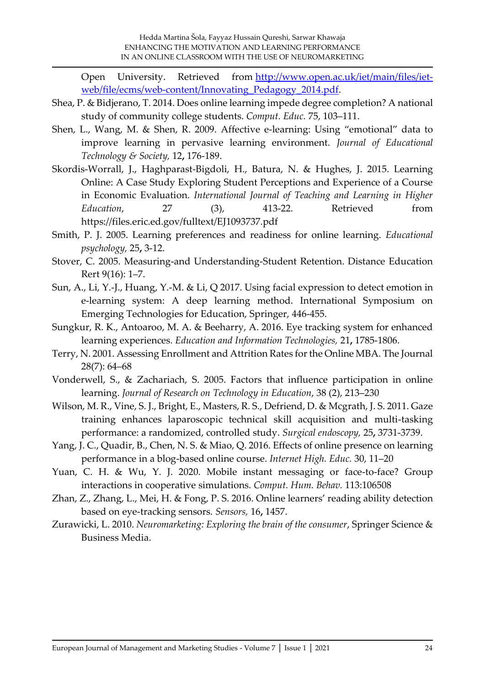Open University. Retrieved from [http://www.open.ac.uk/iet/main/files/iet](http://www.open.ac.uk/iet/main/files/iet-web/file/ecms/web-content/Innovating_Pedagogy_2014.pdf)[web/file/ecms/web-content/Innovating\\_Pedagogy\\_2014.pdf.](http://www.open.ac.uk/iet/main/files/iet-web/file/ecms/web-content/Innovating_Pedagogy_2014.pdf)

- Shea, P. & Bidjerano, T. 2014. Does online learning impede degree completion? A national study of community college students. *Comput. Educ.* 75, 103–111.
- Shen, L., Wang, M. & Shen, R. 2009. Affective e-learning: Using "emotional" data to improve learning in pervasive learning environment. *Journal of Educational Technology & Society,* 12**,** 176-189.
- Skordis-Worrall, J., Haghparast-Bigdoli, H., Batura, N. & Hughes, J. 2015. Learning Online: A Case Study Exploring Student Perceptions and Experience of a Course in Economic Evaluation. *International Journal of Teaching and Learning in Higher Education*, 27 (3), 413-22. Retrieved from https://files.eric.ed.gov/fulltext/EJ1093737.pdf
- <span id="page-23-0"></span>Smith, P. J. 2005. Learning preferences and readiness for online learning. *Educational psychology,* 25**,** 3-12.
- Stover, C. 2005. Measuring-and Understanding-Student Retention. Distance Education Rert 9(16): 1–7.
- Sun, A., Li, Y.-J., Huang, Y.-M. & Li, Q 2017. Using facial expression to detect emotion in e-learning system: A deep learning method. International Symposium on Emerging Technologies for Education, Springer, 446-455.
- Sungkur, R. K., Antoaroo, M. A. & Beeharry, A. 2016. Eye tracking system for enhanced learning experiences. *Education and Information Technologies,* 21**,** 1785-1806.
- Terry, N. 2001. Assessing Enrollment and Attrition Rates for the Online MBA. The Journal 28(7): 64–68
- Vonderwell, S., & Zachariach, S. 2005. Factors that influence participation in online learning. *Journal of Research on Technology in Education*, 38 (2), 213–230
- Wilson, M. R., Vine, S. J., Bright, E., Masters, R. S., Defriend, D. & Mcgrath, J. S. 2011. Gaze training enhances laparoscopic technical skill acquisition and multi-tasking performance: a randomized, controlled study. *Surgical endoscopy,* 25**,** 3731-3739.
- Yang, J. C., Quadir, B., Chen, N. S. & Miao, Q. 2016. Effects of online presence on learning performance in a blog-based online course. *Internet High. Educ.* 30, 11–20
- Yuan, C. H. & Wu, Y. J. 2020. Mobile instant messaging or face-to-face? Group interactions in cooperative simulations. *Comput. Hum. Behav.* 113:106508
- Zhan, Z., Zhang, L., Mei, H. & Fong, P. S. 2016. Online learners' reading ability detection based on eye-tracking sensors. *Sensors,* 16**,** 1457.
- <span id="page-23-1"></span>Zurawicki, L. 2010. *Neuromarketing: Exploring the brain of the consumer*, Springer Science & Business Media.